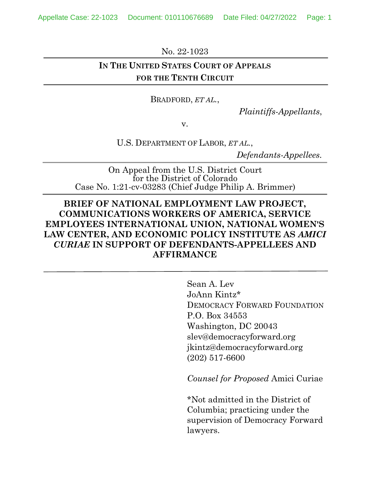Appellate Case: 22-1023 Document: 010110676689 Date Filed: 04/27/2022 Page: 1

No. 22-1023

## **IN THE UNITED STATES COURT OF APPEALS FOR THE TENTH CIRCUIT**

BRADFORD, *ET AL.*,

*Plaintiffs-Appellants*,

v.

U.S. DEPARTMENT OF LABOR, *ET AL.*,

*Defendants-Appellees.*

On Appeal from the U.S. District Court for the District of Colorado Case No. 1:21-cv-03283 (Chief Judge Philip A. Brimmer)

## **BRIEF OF NATIONAL EMPLOYMENT LAW PROJECT, COMMUNICATIONS WORKERS OF AMERICA, SERVICE EMPLOYEES INTERNATIONAL UNION, NATIONAL WOMEN'S LAW CENTER, AND ECONOMIC POLICY INSTITUTE AS** *AMICI CURIAE* **IN SUPPORT OF DEFENDANTS-APPELLEES AND AFFIRMANCE**

Sean A. Lev JoAnn Kintz\* DEMOCRACY FORWARD FOUNDATION P.O. Box 34553 Washington, DC 20043 slev@democracyforward.org jkintz@democracyforward.org (202) 517-6600

*Counsel for Proposed* Amici Curiae

\*Not admitted in the District of Columbia; practicing under the supervision of Democracy Forward lawyers.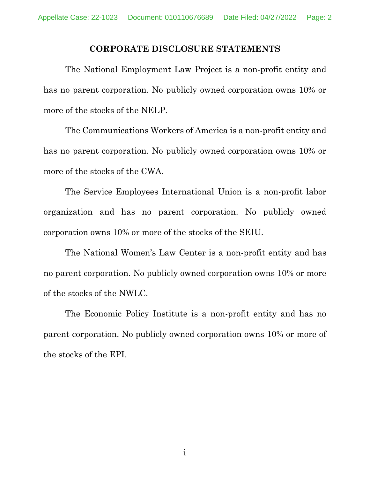#### **CORPORATE DISCLOSURE STATEMENTS**

The National Employment Law Project is a non-profit entity and has no parent corporation. No publicly owned corporation owns 10% or more of the stocks of the NELP.

The Communications Workers of America is a non-profit entity and has no parent corporation. No publicly owned corporation owns 10% or more of the stocks of the CWA.

The Service Employees International Union is a non-profit labor organization and has no parent corporation. No publicly owned corporation owns 10% or more of the stocks of the SEIU.

The National Women's Law Center is a non-profit entity and has no parent corporation. No publicly owned corporation owns 10% or more of the stocks of the NWLC.

The Economic Policy Institute is a non-profit entity and has no parent corporation. No publicly owned corporation owns 10% or more of the stocks of the EPI.

i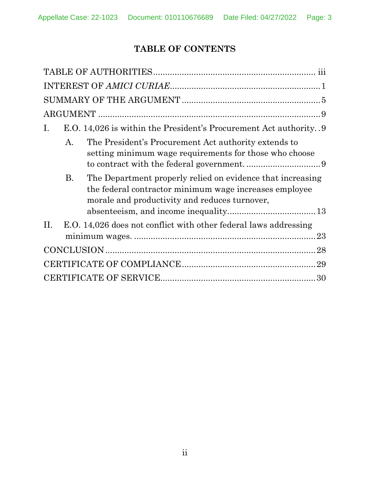# **TABLE OF CONTENTS**

| Ι.                                                         | E.O. 14,026 is within the President's Procurement Act authority9                                                     |
|------------------------------------------------------------|----------------------------------------------------------------------------------------------------------------------|
| А.                                                         | The President's Procurement Act authority extends to<br>setting minimum wage requirements for those who choose       |
| <b>B.</b><br>morale and productivity and reduces turnover, | The Department properly relied on evidence that increasing<br>the federal contractor minimum wage increases employee |
| П.                                                         | E.O. 14,026 does not conflict with other federal laws addressing                                                     |
|                                                            |                                                                                                                      |
|                                                            |                                                                                                                      |
|                                                            |                                                                                                                      |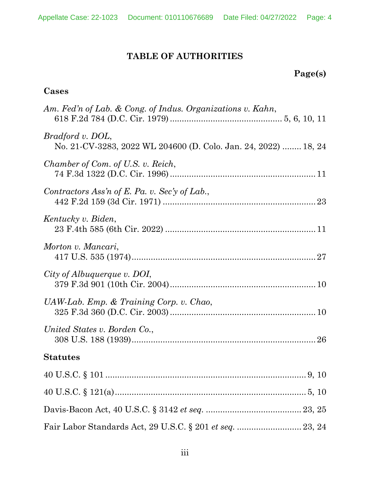# **TABLE OF AUTHORITIES**

# **Page(s)**

## **Cases**

| Am. Fed'n of Lab. & Cong. of Indus. Organizations v. Kahn,                          |
|-------------------------------------------------------------------------------------|
| Bradford v. DOL,<br>No. 21-CV-3283, 2022 WL 204600 (D. Colo. Jan. 24, 2022)  18, 24 |
| Chamber of Com. of U.S. v. Reich,                                                   |
| Contractors Ass'n of E. Pa. v. Sec'y of Lab.,                                       |
| Kentucky v. Biden,                                                                  |
| Morton v. Mancari,                                                                  |
| City of Albuquerque v. DOI,                                                         |
| $UAW-Lab$ . Emp. & Training Corp. v. Chao,                                          |
| United States v. Borden Co.,                                                        |
| <b>Statutes</b>                                                                     |
|                                                                                     |
|                                                                                     |
|                                                                                     |
|                                                                                     |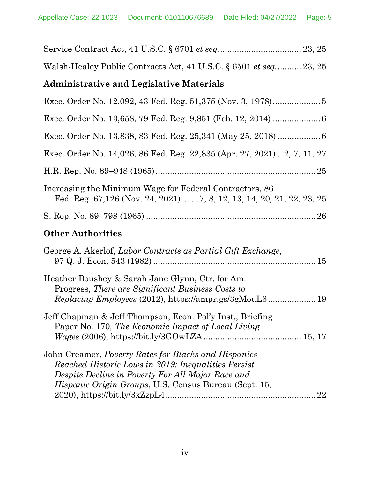| Walsh-Healey Public Contracts Act, 41 U.S.C. § 6501 et seq 23, 25                                                                                                                                                         |
|---------------------------------------------------------------------------------------------------------------------------------------------------------------------------------------------------------------------------|
| <b>Administrative and Legislative Materials</b>                                                                                                                                                                           |
|                                                                                                                                                                                                                           |
|                                                                                                                                                                                                                           |
|                                                                                                                                                                                                                           |
| Exec. Order No. 14,026, 86 Fed. Reg. 22,835 (Apr. 27, 2021)  2, 7, 11, 27                                                                                                                                                 |
|                                                                                                                                                                                                                           |
| Increasing the Minimum Wage for Federal Contractors, 86<br>Fed. Reg. 67,126 (Nov. 24, 2021)  7, 8, 12, 13, 14, 20, 21, 22, 23, 25                                                                                         |
|                                                                                                                                                                                                                           |
| <b>Other Authorities</b>                                                                                                                                                                                                  |
| George A. Akerlof, Labor Contracts as Partial Gift Exchange,                                                                                                                                                              |
| Heather Boushey & Sarah Jane Glynn, Ctr. for Am.<br>Progress, There are Significant Business Costs to<br><i>Replacing Employees</i> (2012), https://ampr.gs/3gMouL6 19                                                    |
| Jeff Chapman & Jeff Thompson, Econ. Pol'y Inst., Briefing<br>Paper No. 170, The Economic Impact of Local Living                                                                                                           |
| John Creamer, Poverty Rates for Blacks and Hispanics<br>Reached Historic Lows in 2019: Inequalities Persist<br>Despite Decline in Poverty For All Major Race and<br>Hispanic Origin Groups, U.S. Census Bureau (Sept. 15, |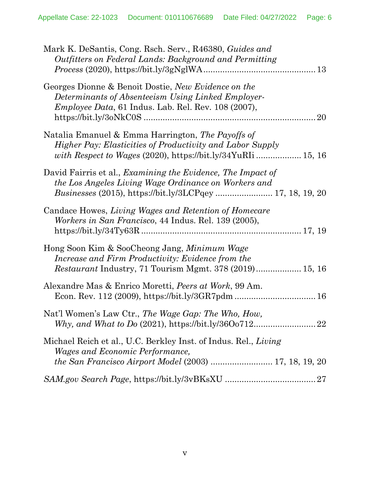| Mark K. DeSantis, Cong. Rsch. Serv., R46380, Guides and<br>Outfitters on Federal Lands: Background and Permitting                                                                                      |
|--------------------------------------------------------------------------------------------------------------------------------------------------------------------------------------------------------|
| Georges Dionne & Benoit Dostie, New Evidence on the<br>Determinants of Absenteeism Using Linked Employer-<br><i>Employee Data</i> , 61 Indus. Lab. Rel. Rev. $108(2007)$ ,<br>20                       |
| Natalia Emanuel & Emma Harrington, The Payoffs of<br><i>Higher Pay: Elasticities of Productivity and Labor Supply</i>                                                                                  |
| David Fairris et al., <i>Examining the Evidence</i> , <i>The Impact of</i><br>the Los Angeles Living Wage Ordinance on Workers and<br><i>Businesses</i> (2015), https://bit.ly/3LCPqey  17, 18, 19, 20 |
| Candace Howes, Living Wages and Retention of Homecare<br><i>Workers in San Francisco, 44 Indus. Rel. 139 (2005),</i>                                                                                   |
| Hong Soon Kim & SooCheong Jang, <i>Minimum Wage</i><br>Increase and Firm Productivity: Evidence from the<br><i>Restaurant</i> Industry, 71 Tourism Mgmt. 378 (2019) 15, 16                             |
| Alexandre Mas & Enrico Moretti, Peers at Work, 99 Am.                                                                                                                                                  |
| Nat'l Women's Law Ctr., The Wage Gap: The Who, How,                                                                                                                                                    |
| Michael Reich et al., U.C. Berkley Inst. of Indus. Rel., Living<br><i>Wages and Economic Performance,</i>                                                                                              |
|                                                                                                                                                                                                        |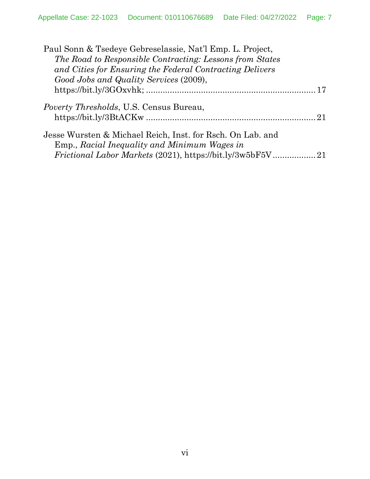| Paul Sonn & Tsedeye Gebreselassie, Nat'l Emp. L. Project,  |  |
|------------------------------------------------------------|--|
| The Road to Responsible Contracting: Lessons from States   |  |
| and Cities for Ensuring the Federal Contracting Delivers   |  |
| Good Jobs and Quality Services (2009),                     |  |
|                                                            |  |
| <i>Poverty Thresholds</i> , U.S. Census Bureau,            |  |
|                                                            |  |
| Jesse Wursten & Michael Reich, Inst. for Rsch. On Lab. and |  |
| Emp., Racial Inequality and Minimum Wages in               |  |
|                                                            |  |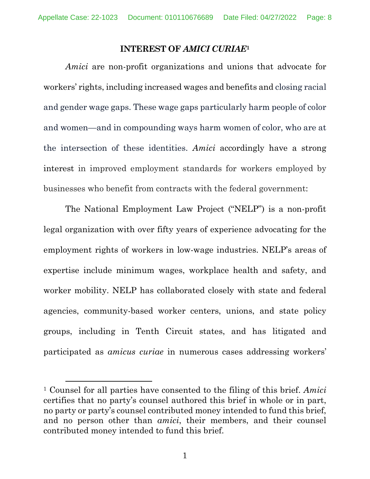#### **INTEREST OF** *AMICI CURIAE***[1](#page-7-1)**

<span id="page-7-0"></span>*Amici* are non-profit organizations and unions that advocate for workers' rights, including increased wages and benefits and closing racial and gender wage gaps. These wage gaps particularly harm people of color and women—and in compounding ways harm women of color, who are at the intersection of these identities. *Amici* accordingly have a strong interest in improved employment standards for workers employed by businesses who benefit from contracts with the federal government:

The National Employment Law Project ("NELP") is a non-profit legal organization with over fifty years of experience advocating for the employment rights of workers in low-wage industries. NELP's areas of expertise include minimum wages, workplace health and safety, and worker mobility. NELP has collaborated closely with state and federal agencies, community-based worker centers, unions, and state policy groups, including in Tenth Circuit states, and has litigated and participated as *amicus curiae* in numerous cases addressing workers'

<span id="page-7-1"></span><sup>1</sup> Counsel for all parties have consented to the filing of this brief. *Amici*  certifies that no party's counsel authored this brief in whole or in part, no party or party's counsel contributed money intended to fund this brief, and no person other than *amici*, their members, and their counsel contributed money intended to fund this brief.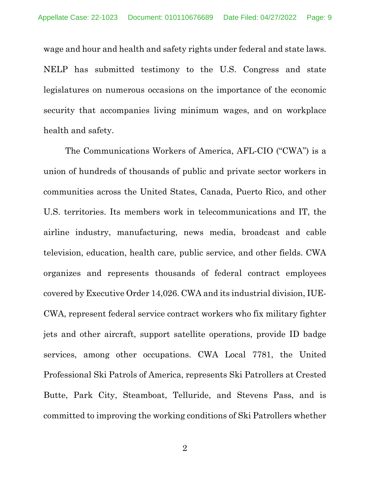wage and hour and health and safety rights under federal and state laws. NELP has submitted testimony to the U.S. Congress and state legislatures on numerous occasions on the importance of the economic security that accompanies living minimum wages, and on workplace health and safety.

The Communications Workers of America, AFL-CIO ("CWA") is a union of hundreds of thousands of public and private sector workers in communities across the United States, Canada, Puerto Rico, and other U.S. territories. Its members work in telecommunications and IT, the airline industry, manufacturing, news media, broadcast and cable television, education, health care, public service, and other fields. CWA organizes and represents thousands of federal contract employees covered by Executive Order 14,026. CWA and its industrial division, IUE-CWA, represent federal service contract workers who fix military fighter jets and other aircraft, support satellite operations, provide ID badge services, among other occupations. CWA Local 7781, the United Professional Ski Patrols of America, represents Ski Patrollers at Crested Butte, Park City, Steamboat, Telluride, and Stevens Pass, and is committed to improving the working conditions of Ski Patrollers whether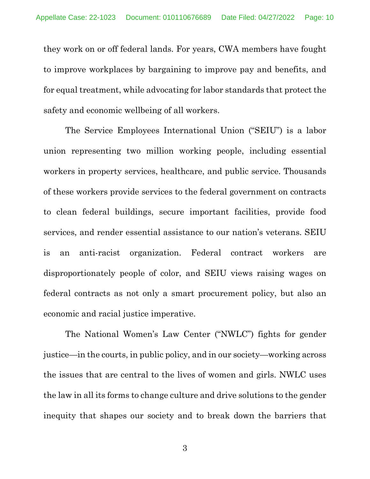they work on or off federal lands. For years, CWA members have fought to improve workplaces by bargaining to improve pay and benefits, and for equal treatment, while advocating for labor standards that protect the safety and economic wellbeing of all workers.

The Service Employees International Union ("SEIU") is a labor union representing two million working people, including essential workers in property services, healthcare, and public service. Thousands of these workers provide services to the federal government on contracts to clean federal buildings, secure important facilities, provide food services, and render essential assistance to our nation's veterans. SEIU is an anti-racist organization. Federal contract workers are disproportionately people of color, and SEIU views raising wages on federal contracts as not only a smart procurement policy, but also an economic and racial justice imperative.

The National Women's Law Center ("NWLC") fights for gender justice—in the courts, in public policy, and in our society—working across the issues that are central to the lives of women and girls. NWLC uses the law in all its forms to change culture and drive solutions to the gender inequity that shapes our society and to break down the barriers that

3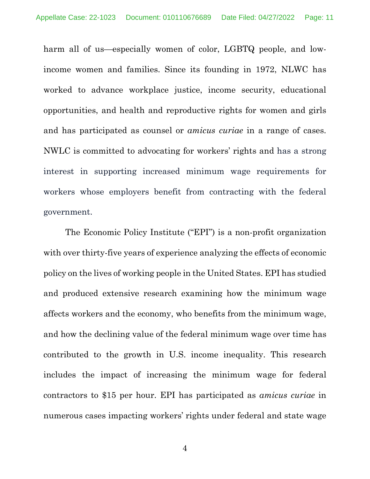harm all of us—especially women of color, LGBTQ people, and lowincome women and families. Since its founding in 1972, NLWC has worked to advance workplace justice, income security, educational opportunities, and health and reproductive rights for women and girls and has participated as counsel or *amicus curiae* in a range of cases. NWLC is committed to advocating for workers' rights and has a strong interest in supporting increased minimum wage requirements for workers whose employers benefit from contracting with the federal government.

The Economic Policy Institute ("EPI") is a non-profit organization with over thirty-five years of experience analyzing the effects of economic policy on the lives of working people in the United States. EPI has studied and produced extensive research examining how the minimum wage affects workers and the economy, who benefits from the minimum wage, and how the declining value of the federal minimum wage over time has contributed to the growth in U.S. income inequality. This research includes the impact of increasing the minimum wage for federal contractors to \$15 per hour. EPI has participated as *amicus curiae* in numerous cases impacting workers' rights under federal and state wage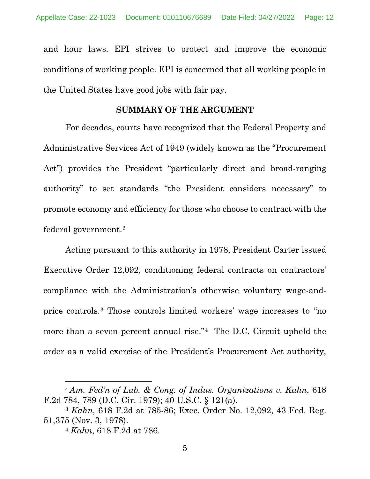and hour laws. EPI strives to protect and improve the economic conditions of working people. EPI is concerned that all working people in the United States have good jobs with fair pay.

#### **SUMMARY OF THE ARGUMENT**

<span id="page-11-0"></span>For decades, courts have recognized that the Federal Property and Administrative Services Act of 1949 (widely known as the "Procurement Act") provides the President "particularly direct and broad-ranging authority" to set standards "the President considers necessary" to promote economy and efficiency for those who choose to contract with the federal government.[2](#page-11-1)

Acting pursuant to this authority in 1978, President Carter issued Executive Order 12,092, conditioning federal contracts on contractors' compliance with the Administration's otherwise voluntary wage-andprice controls.[3](#page-11-2) Those controls limited workers' wage increases to "no more than a seven percent annual rise."<sup>[4](#page-11-3)</sup> The D.C. Circuit upheld the order as a valid exercise of the President's Procurement Act authority,

<span id="page-11-1"></span><sup>2</sup> *Am. Fed'n of Lab. & Cong. of Indus. Organizations v. Kahn*, 618 F.2d 784, 789 (D.C. Cir. 1979); 40 U.S.C. § 121(a). 3 *Kahn*, 618 F.2d at 785-86; Exec. Order No. 12,092, 43 Fed. Reg.

<span id="page-11-3"></span><span id="page-11-2"></span><sup>51,375 (</sup>Nov. 3, 1978).

<sup>4</sup> *Kahn*, 618 F.2d at 786.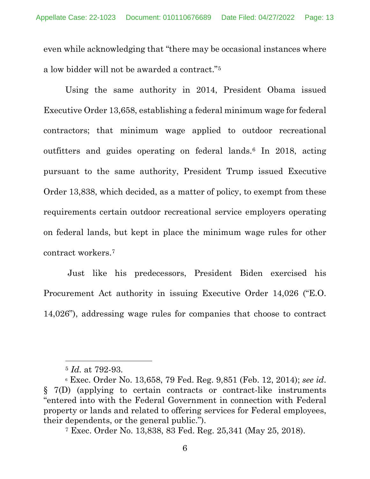even while acknowledging that "there may be occasional instances where a low bidder will not be awarded a contract."[5](#page-12-0)

Using the same authority in 2014, President Obama issued Executive Order 13,658, establishing a federal minimum wage for federal contractors; that minimum wage applied to outdoor recreational outfitters and guides operating on federal lands.[6](#page-12-1) In 2018, acting pursuant to the same authority, President Trump issued Executive Order 13,838, which decided, as a matter of policy, to exempt from these requirements certain outdoor recreational service employers operating on federal lands, but kept in place the minimum wage rules for other contract workers.[7](#page-12-2)

Just like his predecessors, President Biden exercised his Procurement Act authority in issuing Executive Order 14,026 ("E.O. 14,026"), addressing wage rules for companies that choose to contract

<sup>5</sup> *Id.* at 792-93.

<span id="page-12-2"></span><span id="page-12-1"></span><span id="page-12-0"></span><sup>6</sup> Exec. Order No. 13,658, 79 Fed. Reg. 9,851 (Feb. 12, 2014); *see id*. § 7(D) (applying to certain contracts or contract-like instruments "entered into with the Federal Government in connection with Federal property or lands and related to offering services for Federal employees, their dependents, or the general public.").

<sup>7</sup> Exec. Order No. 13,838, 83 Fed. Reg. 25,341 (May 25, 2018).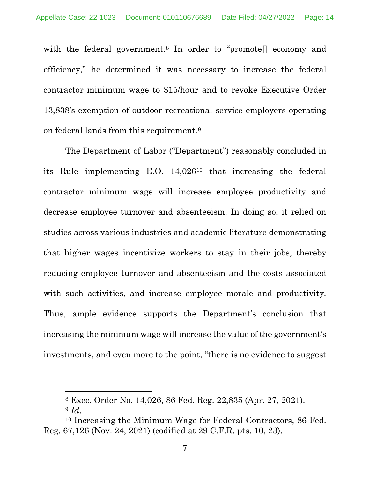with the federal government.<sup>[8](#page-13-0)</sup> In order to "promote<sup>[]</sup> economy and efficiency," he determined it was necessary to increase the federal contractor minimum wage to \$15/hour and to revoke Executive Order 13,838's exemption of outdoor recreational service employers operating on federal lands from this requirement.[9](#page-13-1)

The Department of Labor ("Department") reasonably concluded in its Rule implementing E.O. 14,026[10](#page-13-2) that increasing the federal contractor minimum wage will increase employee productivity and decrease employee turnover and absenteeism. In doing so, it relied on studies across various industries and academic literature demonstrating that higher wages incentivize workers to stay in their jobs, thereby reducing employee turnover and absenteeism and the costs associated with such activities, and increase employee morale and productivity. Thus, ample evidence supports the Department's conclusion that increasing the minimum wage will increase the value of the government's investments, and even more to the point, "there is no evidence to suggest

<sup>8</sup> Exec. Order No. 14,026, 86 Fed. Reg. 22,835 (Apr. 27, 2021).

<sup>9</sup> *Id*.

<span id="page-13-2"></span><span id="page-13-1"></span><span id="page-13-0"></span><sup>10</sup> Increasing the Minimum Wage for Federal Contractors, 86 Fed. Reg. 67,126 (Nov. 24, 2021) (codified at 29 C.F.R. pts. 10, 23).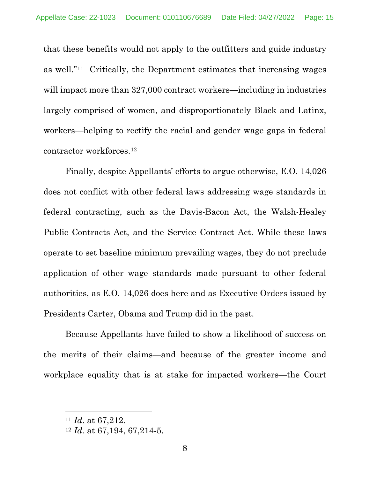that these benefits would not apply to the outfitters and guide industry as well."[11](#page-14-0) Critically, the Department estimates that increasing wages will impact more than 327,000 contract workers—including in industries largely comprised of women, and disproportionately Black and Latinx, workers—helping to rectify the racial and gender wage gaps in federal contractor workforces.[12](#page-14-1)

Finally, despite Appellants' efforts to argue otherwise, E.O. 14,026 does not conflict with other federal laws addressing wage standards in federal contracting, such as the Davis-Bacon Act, the Walsh-Healey Public Contracts Act, and the Service Contract Act. While these laws operate to set baseline minimum prevailing wages, they do not preclude application of other wage standards made pursuant to other federal authorities, as E.O. 14,026 does here and as Executive Orders issued by Presidents Carter, Obama and Trump did in the past.

Because Appellants have failed to show a likelihood of success on the merits of their claims—and because of the greater income and workplace equality that is at stake for impacted workers—the Court

<span id="page-14-1"></span><span id="page-14-0"></span><sup>11</sup> *Id*. at 67,212. 12 *Id.* at 67,194, 67,214-5.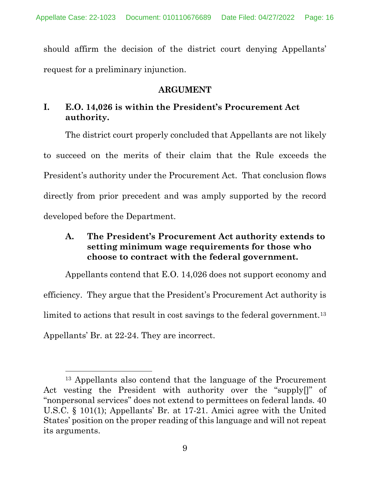should affirm the decision of the district court denying Appellants' request for a preliminary injunction.

### **ARGUMENT**

## <span id="page-15-1"></span><span id="page-15-0"></span>**I. E.O. 14,026 is within the President's Procurement Act authority.**

The district court properly concluded that Appellants are not likely to succeed on the merits of their claim that the Rule exceeds the President's authority under the Procurement Act. That conclusion flows directly from prior precedent and was amply supported by the record developed before the Department.

## <span id="page-15-2"></span>**A. The President's Procurement Act authority extends to setting minimum wage requirements for those who choose to contract with the federal government.**

Appellants contend that E.O. 14,026 does not support economy and efficiency. They argue that the President's Procurement Act authority is limited to actions that result in cost savings to the federal government.<sup>[13](#page-15-3)</sup> Appellants' Br. at 22-24. They are incorrect.

<span id="page-15-3"></span><sup>13</sup> Appellants also contend that the language of the Procurement Act vesting the President with authority over the "supply[]" of "nonpersonal services" does not extend to permittees on federal lands. 40 U.S.C. § 101(1); Appellants' Br. at 17-21. Amici agree with the United States' position on the proper reading of this language and will not repeat its arguments.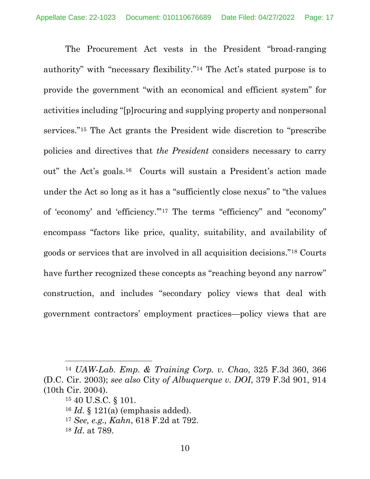The Procurement Act vests in the President "broad-ranging authority" with "necessary flexibility."[14](#page-16-0) The Act's stated purpose is to provide the government "with an economical and efficient system" for activities including "[p]rocuring and supplying property and nonpersonal services."[15](#page-16-1) The Act grants the President wide discretion to "prescribe policies and directives that *the President* considers necessary to carry out" the Act's goals.[16](#page-16-2) Courts will sustain a President's action made under the Act so long as it has a "sufficiently close nexus" to "the values of 'economy' and 'efficiency.'"[17](#page-16-3) The terms "efficiency" and "economy" encompass "factors like price, quality, suitability, and availability of goods or services that are involved in all acquisition decisions."[18](#page-16-4) Courts have further recognized these concepts as "reaching beyond any narrow" construction, and includes "secondary policy views that deal with government contractors' employment practices—policy views that are

<sup>17</sup> *See, e.g., Kahn*, 618 F.2d at 792.

<span id="page-16-2"></span><span id="page-16-1"></span><span id="page-16-0"></span><sup>14</sup> *UAW-Lab. Emp. & Training Corp. v. Chao*, 325 F.3d 360, 366 (D.C. Cir. 2003); *see also* City *of Albuquerque v. DOI*, 379 F.3d 901, 914 (10th Cir. 2004).

<sup>15</sup> 40 U.S.C. § 101.

<span id="page-16-3"></span><sup>16</sup> *Id*. § 121(a) (emphasis added).

<span id="page-16-4"></span><sup>18</sup> *Id*. at 789.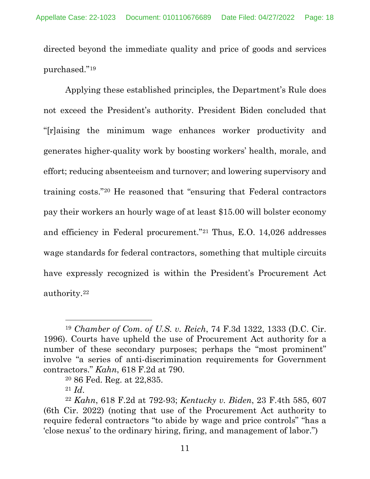directed beyond the immediate quality and price of goods and services purchased."[19](#page-17-0)

Applying these established principles, the Department's Rule does not exceed the President's authority. President Biden concluded that "[r]aising the minimum wage enhances worker productivity and generates higher-quality work by boosting workers' health, morale, and effort; reducing absenteeism and turnover; and lowering supervisory and training costs."[20](#page-17-1) He reasoned that "ensuring that Federal contractors pay their workers an hourly wage of at least \$15.00 will bolster economy and efficiency in Federal procurement."[21](#page-17-2) Thus, E.O. 14,026 addresses wage standards for federal contractors, something that multiple circuits have expressly recognized is within the President's Procurement Act authority.[22](#page-17-3)

<sup>21</sup> *Id*.

<span id="page-17-0"></span><sup>19</sup> *Chamber of Com. of U.S. v. Reich*, 74 F.3d 1322, 1333 (D.C. Cir. 1996). Courts have upheld the use of Procurement Act authority for a number of these secondary purposes; perhaps the "most prominent" involve "a series of anti-discrimination requirements for Government contractors." *Kahn*, 618 F.2d at 790.

<sup>20</sup> 86 Fed. Reg. at 22,835.

<span id="page-17-3"></span><span id="page-17-2"></span><span id="page-17-1"></span><sup>22</sup> *Kahn*, 618 F.2d at 792-93; *Kentucky v. Biden*, 23 F.4th 585, 607 (6th Cir. 2022) (noting that use of the Procurement Act authority to require federal contractors "to abide by wage and price controls" "has a 'close nexus' to the ordinary hiring, firing, and management of labor.")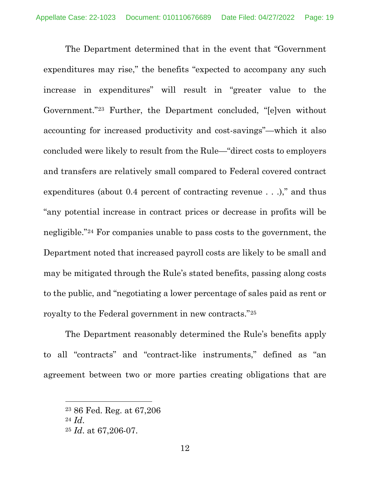The Department determined that in the event that "Government expenditures may rise," the benefits "expected to accompany any such increase in expenditures" will result in "greater value to the Government.["23](#page-18-0) Further, the Department concluded, "[e]ven without accounting for increased productivity and cost-savings"—which it also concluded were likely to result from the Rule—"direct costs to employers and transfers are relatively small compared to Federal covered contract expenditures (about 0.4 percent of contracting revenue . . .)," and thus "any potential increase in contract prices or decrease in profits will be negligible."[24](#page-18-1) For companies unable to pass costs to the government, the Department noted that increased payroll costs are likely to be small and may be mitigated through the Rule's stated benefits, passing along costs to the public, and "negotiating a lower percentage of sales paid as rent or royalty to the Federal government in new contracts."[25](#page-18-2)

The Department reasonably determined the Rule's benefits apply to all "contracts" and "contract-like instruments," defined as "an agreement between two or more parties creating obligations that are

<span id="page-18-0"></span><sup>23</sup> 86 Fed. Reg. at 67,206

<span id="page-18-1"></span><sup>24</sup> *Id*.

<span id="page-18-2"></span><sup>25</sup> *Id*. at 67,206-07.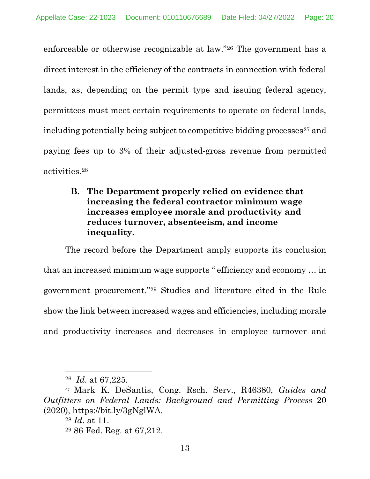enforceable or otherwise recognizable at law."[26](#page-19-1) The government has a direct interest in the efficiency of the contracts in connection with federal lands, as, depending on the permit type and issuing federal agency, permittees must meet certain requirements to operate on federal lands, including potentially being subject to competitive bidding processes $27$  and paying fees up to 3% of their adjusted-gross revenue from permitted activities[.28](#page-19-3)

<span id="page-19-0"></span>**B. The Department properly relied on evidence that increasing the federal contractor minimum wage increases employee morale and productivity and reduces turnover, absenteeism, and income inequality.**

The record before the Department amply supports its conclusion that an increased minimum wage supports " efficiency and economy … in government procurement."[29](#page-19-4) Studies and literature cited in the Rule show the link between increased wages and efficiencies, including morale and productivity increases and decreases in employee turnover and

<sup>26</sup> *Id*. at 67,225.

<span id="page-19-4"></span><span id="page-19-3"></span><span id="page-19-2"></span><span id="page-19-1"></span><sup>27</sup> Mark K. DeSantis, Cong. Rsch. Serv., R46380, *Guides and Outfitters on Federal Lands: Background and Permitting Process* 20 (2020), https://bit.ly/3gNglWA.

<sup>28</sup> *Id*. at 11.

<sup>29</sup> 86 Fed. Reg. at 67,212.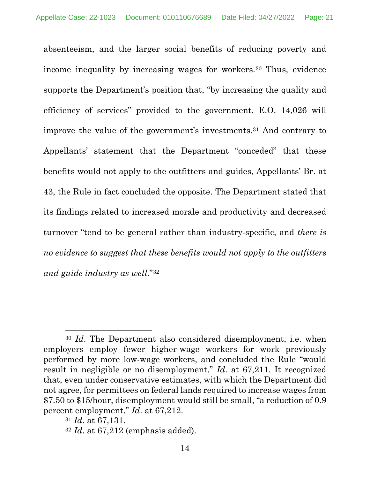absenteeism, and the larger social benefits of reducing poverty and income inequality by increasing wages for workers.<sup>[30](#page-20-0)</sup> Thus, evidence supports the Department's position that, "by increasing the quality and efficiency of services" provided to the government, E.O. 14,026 will improve the value of the government's investments.[31](#page-20-1) And contrary to Appellants' statement that the Department "conceded" that these benefits would not apply to the outfitters and guides, Appellants' Br. at 43, the Rule in fact concluded the opposite. The Department stated that its findings related to increased morale and productivity and decreased turnover "tend to be general rather than industry-specific, and *there is no evidence to suggest that these benefits would not apply to the outfitters and guide industry as well*.["32](#page-20-2)

<span id="page-20-0"></span><sup>30</sup> *Id*. The Department also considered disemployment, i.e. when employers employ fewer higher-wage workers for work previously performed by more low-wage workers, and concluded the Rule "would result in negligible or no disemployment." *Id*. at 67,211. It recognized that, even under conservative estimates, with which the Department did not agree, for permittees on federal lands required to increase wages from \$7.50 to \$15/hour, disemployment would still be small, "a reduction of 0.9 percent employment." *Id*. at 67,212.

<span id="page-20-1"></span><sup>31</sup> *Id*. at 67,131.

<span id="page-20-2"></span><sup>32</sup> *Id*. at 67,212 (emphasis added).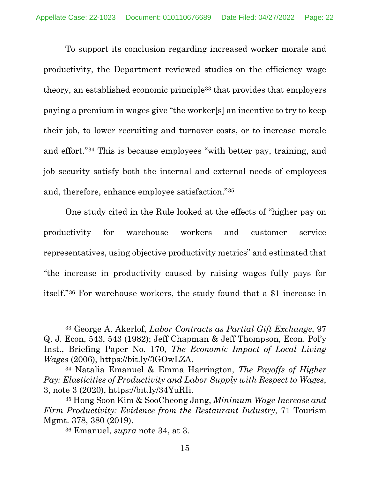To support its conclusion regarding increased worker morale and productivity, the Department reviewed studies on the efficiency wage theory, an established economic principle[33](#page-21-0) that provides that employers paying a premium in wages give "the worker[s] an incentive to try to keep their job, to lower recruiting and turnover costs, or to increase morale and effort."[34](#page-21-1) This is because employees "with better pay, training, and job security satisfy both the internal and external needs of employees and, therefore, enhance employee satisfaction."[35](#page-21-2)

One study cited in the Rule looked at the effects of "higher pay on productivity for warehouse workers and customer service representatives, using objective productivity metrics" and estimated that "the increase in productivity caused by raising wages fully pays for itself."[36](#page-21-3) For warehouse workers, the study found that a \$1 increase in

<span id="page-21-0"></span><sup>33</sup> George A. Akerlof, *Labor Contracts as Partial Gift Exchange*, 97 Q. J. Econ, 543, 543 (1982); Jeff Chapman & Jeff Thompson, Econ. Pol'y Inst., Briefing Paper No. 170*, The Economic Impact of Local Living Wages* (2006), https://bit.ly/3GOwLZA. 34 Natalia Emanuel & Emma Harrington, *The Payoffs of Higher* 

<span id="page-21-1"></span>*Pay: Elasticities of Productivity and Labor Supply with Respect to Wages*, 3, note 3 (2020), https://bit.ly/34YuRIi.

<span id="page-21-3"></span><span id="page-21-2"></span><sup>35</sup> Hong Soon Kim & SooCheong Jang, *Minimum Wage Increase and Firm Productivity: Evidence from the Restaurant Industry*, 71 Tourism Mgmt. 378, 380 (2019).

<sup>36</sup> Emanuel, *supra* note 34, at 3.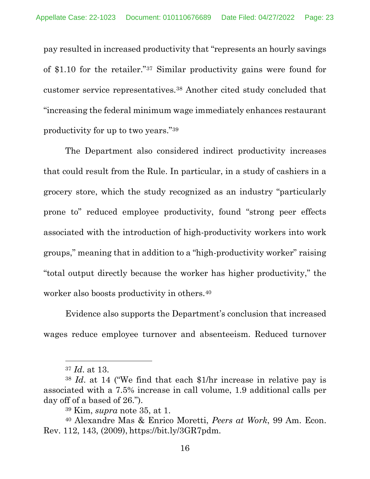pay resulted in increased productivity that "represents an hourly savings of \$1.10 for the retailer."[37](#page-22-0) Similar productivity gains were found for customer service representatives.[38](#page-22-1) Another cited study concluded that "increasing the federal minimum wage immediately enhances restaurant productivity for up to two years."[39](#page-22-2)

The Department also considered indirect productivity increases that could result from the Rule. In particular, in a study of cashiers in a grocery store, which the study recognized as an industry "particularly prone to" reduced employee productivity, found "strong peer effects associated with the introduction of high-productivity workers into work groups," meaning that in addition to a "high-productivity worker" raising "total output directly because the worker has higher productivity," the worker also boosts productivity in others.[40](#page-22-3)

Evidence also supports the Department's conclusion that increased wages reduce employee turnover and absenteeism. Reduced turnover

<sup>37</sup> *Id*. at 13.

<span id="page-22-1"></span><span id="page-22-0"></span><sup>38</sup> *Id*. at 14 ("We find that each \$1/hr increase in relative pay is associated with a 7.5% increase in call volume, 1.9 additional calls per day off of a based of 26.").

<sup>39</sup> Kim, *supra* note 35, at 1.

<span id="page-22-3"></span><span id="page-22-2"></span><sup>40</sup> Alexandre Mas & Enrico Moretti, *Peers at Work*, 99 Am. Econ. Rev. 112, 143, (2009), https://bit.ly/3GR7pdm.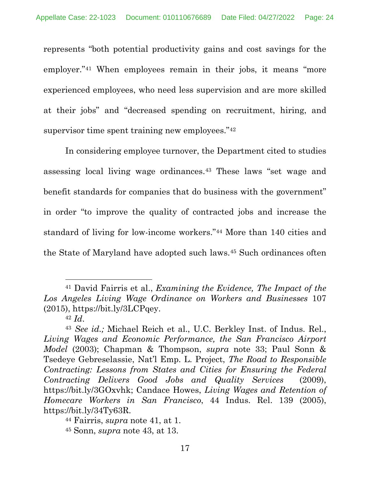represents "both potential productivity gains and cost savings for the employer.["41](#page-23-0) When employees remain in their jobs, it means "more experienced employees, who need less supervision and are more skilled at their jobs" and "decreased spending on recruitment, hiring, and supervisor time spent training new employees."<sup>[42](#page-23-1)</sup>

In considering employee turnover, the Department cited to studies assessing local living wage ordinances.[43](#page-23-2) These laws "set wage and benefit standards for companies that do business with the government" in order "to improve the quality of contracted jobs and increase the standard of living for low-income workers."[44](#page-23-3) More than 140 cities and the State of Maryland have adopted such laws.[45](#page-23-4) Such ordinances often

<span id="page-23-0"></span><sup>41</sup> David Fairris et al., *Examining the Evidence, The Impact of the Los Angeles Living Wage Ordinance on Workers and Businesses* 107  $(2015)$ , https://bit.ly/3LCPqey.

<span id="page-23-2"></span><span id="page-23-1"></span><sup>42</sup> *Id*. 43 *See id.;* Michael Reich et al., U.C. Berkley Inst. of Indus. Rel., *Living Wages and Economic Performance, the San Francisco Airport Model* (2003); Chapman & Thompson, *supra* note 33; Paul Sonn & Tsedeye Gebreselassie, Nat'l Emp. L. Project, *The Road to Responsible Contracting: Lessons from States and Cities for Ensuring the Federal Contracting Delivers Good Jobs and Quality Services* (2009), https://bit.ly/3GOxvhk; Candace Howes, *Living Wages and Retention of Homecare Workers in San Francisco*, 44 Indus. Rel. 139 (2005), https://bit.ly/34Ty63R.

<span id="page-23-3"></span><sup>44</sup> Fairris, *supra* note 41, at 1.

<span id="page-23-4"></span><sup>45</sup> Sonn, *supra* note 43, at 13.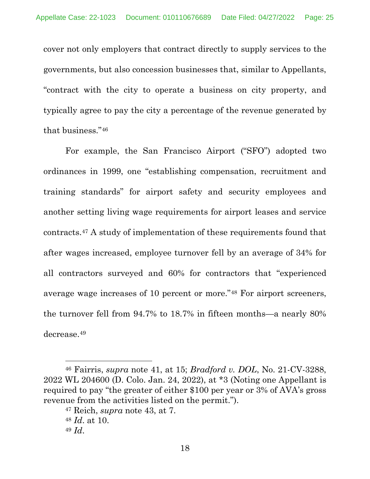cover not only employers that contract directly to supply services to the governments, but also concession businesses that, similar to Appellants, "contract with the city to operate a business on city property, and typically agree to pay the city a percentage of the revenue generated by that business."[46](#page-24-0)

For example, the San Francisco Airport ("SFO") adopted two ordinances in 1999, one "establishing compensation, recruitment and training standards" for airport safety and security employees and another setting living wage requirements for airport leases and service contracts.[47](#page-24-1) A study of implementation of these requirements found that after wages increased, employee turnover fell by an average of 34% for all contractors surveyed and 60% for contractors that "experienced average wage increases of 10 percent or more."[48](#page-24-2) For airport screeners, the turnover fell from 94.7% to 18.7% in fifteen months—a nearly 80% decrease.[49](#page-24-3)

<span id="page-24-1"></span><span id="page-24-0"></span><sup>46</sup> Fairris, *supra* note 41, at 15; *Bradford v. DOL*, No. 21-CV-3288, 2022 WL 204600 (D. Colo. Jan. 24, 2022), at \*3 (Noting one Appellant is required to pay "the greater of either \$100 per year or 3% of AVA's gross revenue from the activities listed on the permit.").

<span id="page-24-2"></span><sup>47</sup> Reich, *supra* note 43, at 7.

<sup>48</sup> *Id*. at 10.

<span id="page-24-3"></span><sup>49</sup> *Id*.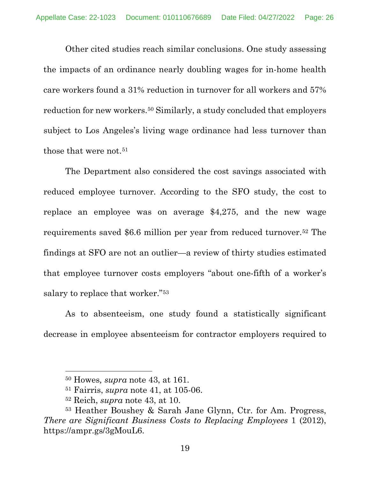Other cited studies reach similar conclusions. One study assessing the impacts of an ordinance nearly doubling wages for in-home health care workers found a 31% reduction in turnover for all workers and 57% reduction for new workers.[50](#page-25-0) Similarly, a study concluded that employers subject to Los Angeles's living wage ordinance had less turnover than those that were not.<sup>[51](#page-25-1)</sup>

The Department also considered the cost savings associated with reduced employee turnover. According to the SFO study, the cost to replace an employee was on average \$4,275, and the new wage requirements saved \$6.6 million per year from reduced turnover.[52](#page-25-2) The findings at SFO are not an outlier—a review of thirty studies estimated that employee turnover costs employers "about one-fifth of a worker's salary to replace that worker."[53](#page-25-3)

As to absenteeism, one study found a statistically significant decrease in employee absenteeism for contractor employers required to

<sup>50</sup> Howes*, supra* note 43, at 161.

<sup>51</sup> Fairris, *supra* note 41, at 105-06.

<sup>52</sup> Reich, *supra* note 43, at 10.

<span id="page-25-3"></span><span id="page-25-2"></span><span id="page-25-1"></span><span id="page-25-0"></span><sup>53</sup> Heather Boushey & Sarah Jane Glynn, Ctr. for Am. Progress, *There are Significant Business Costs to Replacing Employees* 1 (2012), https://ampr.gs/3gMouL6.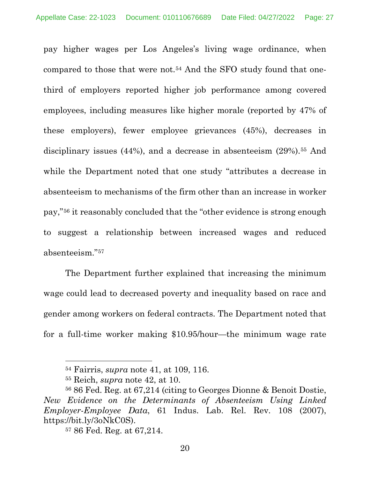pay higher wages per Los Angeles's living wage ordinance, when compared to those that were not.[54](#page-26-0) And the SFO study found that onethird of employers reported higher job performance among covered employees, including measures like higher morale (reported by 47% of these employers), fewer employee grievances (45%), decreases in disciplinary issues (44%), and a decrease in absenteeism (29%).<sup>[55](#page-26-1)</sup> And while the Department noted that one study "attributes a decrease in absenteeism to mechanisms of the firm other than an increase in worker pay,"[56](#page-26-2) it reasonably concluded that the "other evidence is strong enough to suggest a relationship between increased wages and reduced absenteeism."[57](#page-26-3)

The Department further explained that increasing the minimum wage could lead to decreased poverty and inequality based on race and gender among workers on federal contracts. The Department noted that for a full-time worker making \$10.95/hour—the minimum wage rate

<sup>54</sup> Fairris, *supra* note 41, at 109, 116.

<sup>55</sup> Reich, *supra* note 42, at 10.

<span id="page-26-3"></span><span id="page-26-2"></span><span id="page-26-1"></span><span id="page-26-0"></span><sup>56</sup> 86 Fed. Reg. at 67,214 (citing to Georges Dionne & Benoit Dostie, *New Evidence on the Determinants of Absenteeism Using Linked Employer-Employee Data*, 61 Indus. Lab. Rel. Rev. 108 (2007), https://bit.ly/3oNkC0S). 57 86 Fed. Reg. at 67,214.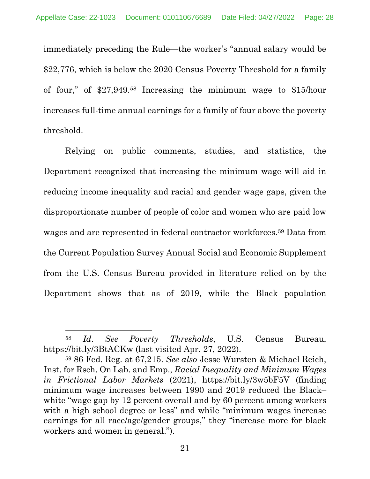immediately preceding the Rule—the worker's "annual salary would be \$22,776, which is below the 2020 Census Poverty Threshold for a family of four," of \$27,949.[58](#page-27-0) Increasing the minimum wage to \$15/hour increases full-time annual earnings for a family of four above the poverty threshold.

Relying on public comments, studies, and statistics, the Department recognized that increasing the minimum wage will aid in reducing income inequality and racial and gender wage gaps, given the disproportionate number of people of color and women who are paid low wages and are represented in federal contractor workforces.[59](#page-27-1) Data from the Current Population Survey Annual Social and Economic Supplement from the U.S. Census Bureau provided in literature relied on by the Department shows that as of 2019, while the Black population

<span id="page-27-0"></span><sup>58</sup> *Id*. *See Poverty Thresholds*, U.S. Census Bureau, https://bit.ly/3BtACKw (last visited Apr. 27, 2022).

<span id="page-27-1"></span><sup>59</sup> 86 Fed. Reg. at 67,215. *See also* Jesse Wursten & Michael Reich, Inst. for Rsch. On Lab. and Emp., *Racial Inequality and Minimum Wages in Frictional Labor Markets* (2021), https://bit.ly/3w5bF5V (finding minimum wage increases between 1990 and 2019 reduced the Black– white "wage gap by 12 percent overall and by 60 percent among workers with a high school degree or less" and while "minimum wages increase earnings for all race/age/gender groups," they "increase more for black workers and women in general.").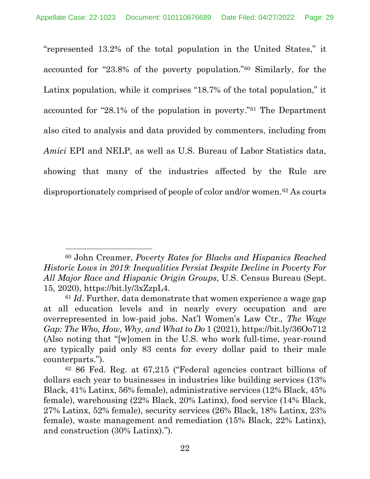"represented 13.2% of the total population in the United States," it accounted for "23.8% of the poverty population."[60](#page-28-0) Similarly, for the Latinx population, while it comprises "18.7% of the total population," it accounted for "28.1% of the population in poverty."[61](#page-28-1) The Department also cited to analysis and data provided by commenters, including from *Amici* EPI and NELP, as well as U.S. Bureau of Labor Statistics data, showing that many of the industries affected by the Rule are disproportionately comprised of people of color and/or women.[62](#page-28-2) As courts

<span id="page-28-0"></span><sup>60</sup> John Creamer, *Poverty Rates for Blacks and Hispanics Reached Historic Lows in 2019: Inequalities Persist Despite Decline in Poverty For All Major Race and Hispanic Origin Groups*, U.S. Census Bureau (Sept. 15, 2020), https://bit.ly/3xZzpL4.

<span id="page-28-1"></span><sup>61</sup> *Id*. Further, data demonstrate that women experience a wage gap at all education levels and in nearly every occupation and are overrepresented in low-paid jobs. Nat'l Women's Law Ctr., *The Wage Gap: The Who, How, Why, and What to Do* 1 (2021), https://bit.ly/36Oo712 (Also noting that "[w]omen in the U.S. who work full-time, year-round are typically paid only 83 cents for every dollar paid to their male counterparts.").

<span id="page-28-2"></span><sup>62</sup> 86 Fed. Reg. at 67,215 ("Federal agencies contract billions of dollars each year to businesses in industries like building services (13% Black, 41% Latinx, 56% female), administrative services (12% Black, 45% female), warehousing (22% Black, 20% Latinx), food service (14% Black, 27% Latinx, 52% female), security services (26% Black, 18% Latinx, 23% female), waste management and remediation (15% Black, 22% Latinx), and construction (30% Latinx).'').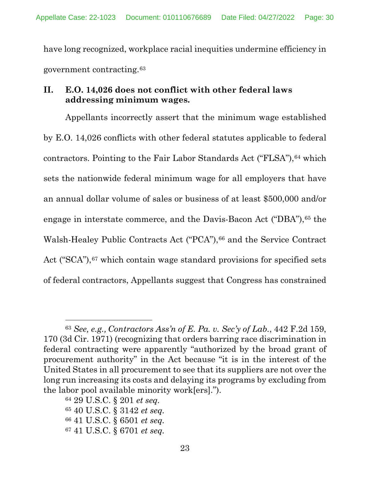have long recognized, workplace racial inequities undermine efficiency in government contracting.[63](#page-29-1)

## <span id="page-29-0"></span>**II. E.O. 14,026 does not conflict with other federal laws addressing minimum wages.**

Appellants incorrectly assert that the minimum wage established by E.O. 14,026 conflicts with other federal statutes applicable to federal contractors. Pointing to the Fair Labor Standards Act ("FLSA"), <sup>[64](#page-29-2)</sup> which sets the nationwide federal minimum wage for all employers that have an annual dollar volume of sales or business of at least \$500,000 and/or engage in interstate commerce, and the Davis-Bacon Act ("DBA"), <sup>[65](#page-29-3)</sup> the Walsh-Healey Public Contracts Act ("PCA"),<sup>[66](#page-29-4)</sup> and the Service Contract Act ("SCA"), <sup>[67](#page-29-5)</sup> which contain wage standard provisions for specified sets of federal contractors, Appellants suggest that Congress has constrained

<span id="page-29-1"></span><sup>63</sup> *See, e.g., Contractors Ass'n of E. Pa. v. Sec'y of Lab.*, 442 F.2d 159, 170 (3d Cir. 1971) (recognizing that orders barring race discrimination in federal contracting were apparently "authorized by the broad grant of procurement authority" in the Act because "it is in the interest of the United States in all procurement to see that its suppliers are not over the long run increasing its costs and delaying its programs by excluding from the labor pool available minority work[ers].").

<span id="page-29-2"></span><sup>64</sup> 29 U.S.C. § 201 *et seq.*

<span id="page-29-3"></span><sup>65</sup> 40 U.S.C. § 3142 *et seq.*

<span id="page-29-4"></span><sup>66</sup> 41 U.S.C. § 6501 *et seq.* 

<span id="page-29-5"></span><sup>67</sup> 41 U.S.C. § 6701 *et seq.*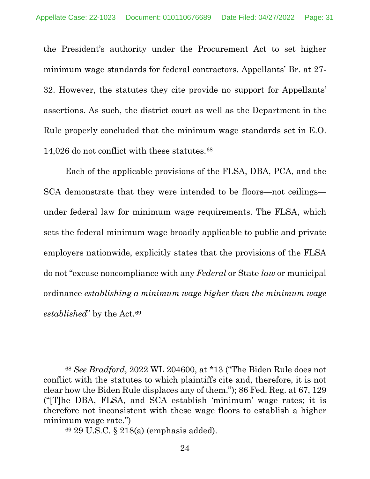the President's authority under the Procurement Act to set higher minimum wage standards for federal contractors. Appellants' Br. at 27- 32. However, the statutes they cite provide no support for Appellants' assertions. As such, the district court as well as the Department in the Rule properly concluded that the minimum wage standards set in E.O. 14,026 do not conflict with these statutes.[68](#page-30-0)

Each of the applicable provisions of the FLSA, DBA, PCA, and the SCA demonstrate that they were intended to be floors—not ceilings under federal law for minimum wage requirements. The FLSA, which sets the federal minimum wage broadly applicable to public and private employers nationwide, explicitly states that the provisions of the FLSA do not "excuse noncompliance with any *Federal* or State *law* or municipal ordinance *establishing a minimum wage higher than the minimum wage established*" by the Act.[69](#page-30-1)

<span id="page-30-0"></span><sup>68</sup> *See Bradford*, 2022 WL 204600, at \*13 ("The Biden Rule does not conflict with the statutes to which plaintiffs cite and, therefore, it is not clear how the Biden Rule displaces any of them."); 86 Fed. Reg. at 67, 129 ("[T]he DBA, FLSA, and SCA establish 'minimum' wage rates; it is therefore not inconsistent with these wage floors to establish a higher minimum wage rate.")

<span id="page-30-1"></span><sup>69</sup> 29 U.S.C. § 218(a) (emphasis added).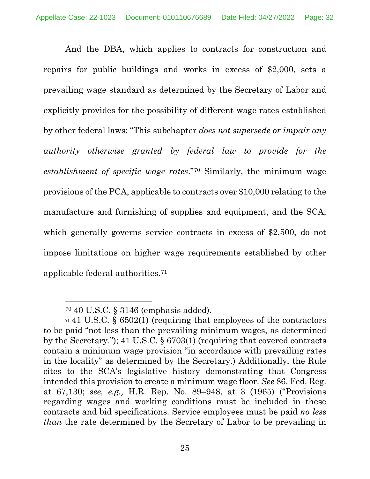And the DBA, which applies to contracts for construction and repairs for public buildings and works in excess of \$2,000, sets a prevailing wage standard as determined by the Secretary of Labor and explicitly provides for the possibility of different wage rates established by other federal laws: "This subchapter *does not supersede or impair any authority otherwise granted by federal law to provide for the establishment of specific wage rates*."[70](#page-31-0) Similarly, the minimum wage provisions of the PCA, applicable to contracts over \$10,000 relating to the manufacture and furnishing of supplies and equipment, and the SCA, which generally governs service contracts in excess of \$2,500, do not impose limitations on higher wage requirements established by other applicable federal authorities.[71](#page-31-1)

<sup>70</sup> 40 U.S.C. § 3146 (emphasis added).

<span id="page-31-1"></span><span id="page-31-0"></span> $71$  41 U.S.C. § 6502(1) (requiring that employees of the contractors to be paid "not less than the prevailing minimum wages, as determined by the Secretary."); 41 U.S.C. § 6703(1) (requiring that covered contracts contain a minimum wage provision "in accordance with prevailing rates in the locality" as determined by the Secretary.) Additionally, the Rule cites to the SCA's legislative history demonstrating that Congress intended this provision to create a minimum wage floor. *See* 86. Fed. Reg. at 67,130; *see, e.g.,* H.R. Rep. No. 89–948, at 3 (1965) ("Provisions regarding wages and working conditions must be included in these contracts and bid specifications. Service employees must be paid *no less than* the rate determined by the Secretary of Labor to be prevailing in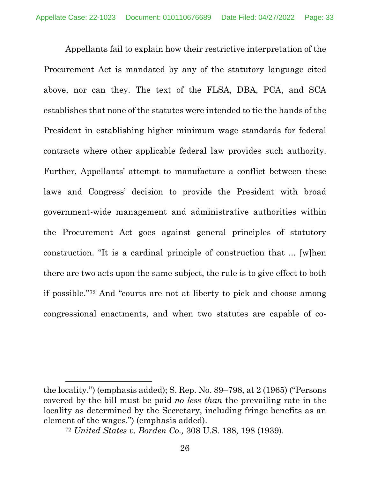Appellants fail to explain how their restrictive interpretation of the Procurement Act is mandated by any of the statutory language cited above, nor can they. The text of the FLSA, DBA, PCA, and SCA establishes that none of the statutes were intended to tie the hands of the President in establishing higher minimum wage standards for federal contracts where other applicable federal law provides such authority. Further, Appellants' attempt to manufacture a conflict between these laws and Congress' decision to provide the President with broad government-wide management and administrative authorities within the Procurement Act goes against general principles of statutory construction. "It is a cardinal principle of construction that ... [w]hen there are two acts upon the same subject, the rule is to give effect to both if possible."[72](#page-32-0) And "courts are not at liberty to pick and choose among congressional enactments, and when two statutes are capable of co-

<span id="page-32-0"></span>the locality.") (emphasis added); S. Rep. No. 89–798, at 2 (1965) ("Persons covered by the bill must be paid *no less than* the prevailing rate in the locality as determined by the Secretary, including fringe benefits as an element of the wages.") (emphasis added).

<sup>72</sup> *United States v. Borden Co.,* 308 U.S. 188, 198 (1939).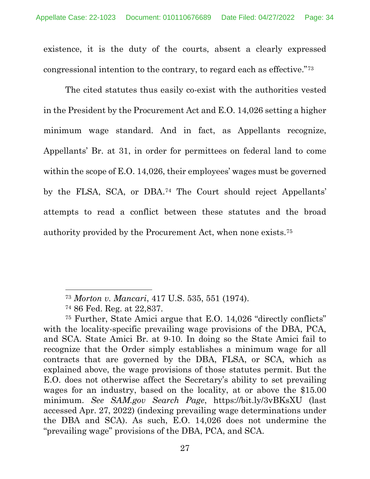existence, it is the duty of the courts, absent a clearly expressed congressional intention to the contrary, to regard each as effective."[73](#page-33-0)

The cited statutes thus easily co-exist with the authorities vested in the President by the Procurement Act and E.O. 14,026 setting a higher minimum wage standard. And in fact, as Appellants recognize, Appellants' Br. at 31, in order for permittees on federal land to come within the scope of E.O. 14,026, their employees' wages must be governed by the FLSA, SCA, or DBA[.74](#page-33-1) The Court should reject Appellants' attempts to read a conflict between these statutes and the broad authority provided by the Procurement Act, when none exists.[75](#page-33-2)

<sup>73</sup> *Morton v. Mancari*, 417 U.S. 535, 551 (1974).

<sup>74</sup> 86 Fed. Reg. at 22,837.

<span id="page-33-2"></span><span id="page-33-1"></span><span id="page-33-0"></span><sup>75</sup> Further, State Amici argue that E.O. 14,026 "directly conflicts" with the locality-specific prevailing wage provisions of the DBA, PCA, and SCA. State Amici Br. at 9-10. In doing so the State Amici fail to recognize that the Order simply establishes a minimum wage for all contracts that are governed by the DBA, FLSA, or SCA, which as explained above, the wage provisions of those statutes permit. But the E.O. does not otherwise affect the Secretary's ability to set prevailing wages for an industry, based on the locality, at or above the \$15.00 minimum. *See SAM.gov Search Page*, https://bit.ly/3vBKsXU (last accessed Apr. 27, 2022) (indexing prevailing wage determinations under the DBA and SCA). As such, E.O. 14,026 does not undermine the "prevailing wage" provisions of the DBA, PCA, and SCA.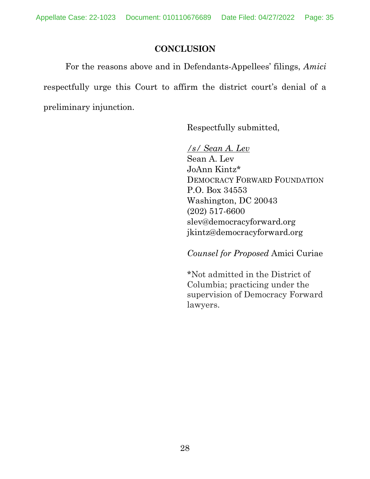### **CONCLUSION**

<span id="page-34-0"></span>For the reasons above and in Defendants-Appellees' filings, *Amici* respectfully urge this Court to affirm the district court's denial of a preliminary injunction.

Respectfully submitted,

*/s/ Sean A. Lev*  Sean A. Lev JoAnn Kintz\* DEMOCRACY FORWARD FOUNDATION P.O. Box 34553 Washington, DC 20043 (202) 517-6600 slev@democracyforward.org jkintz@democracyforward.org

*Counsel for Proposed* Amici Curiae

\*Not admitted in the District of Columbia; practicing under the supervision of Democracy Forward lawyers.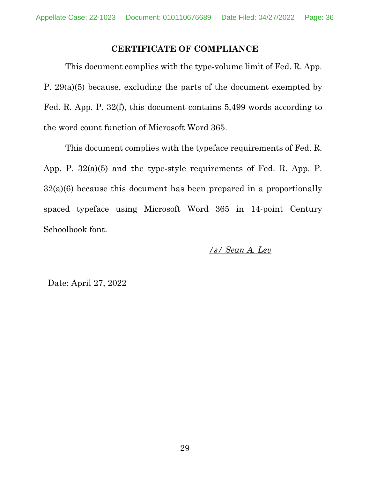### **CERTIFICATE OF COMPLIANCE**

<span id="page-35-0"></span>This document complies with the type-volume limit of Fed. R. App. P. 29(a)(5) because, excluding the parts of the document exempted by Fed. R. App. P. 32(f), this document contains 5,499 words according to the word count function of Microsoft Word 365.

This document complies with the typeface requirements of Fed. R. App. P. 32(a)(5) and the type-style requirements of Fed. R. App. P. 32(a)(6) because this document has been prepared in a proportionally spaced typeface using Microsoft Word 365 in 14-point Century Schoolbook font.

*/s/ Sean A. Lev* 

Date: April 27, 2022